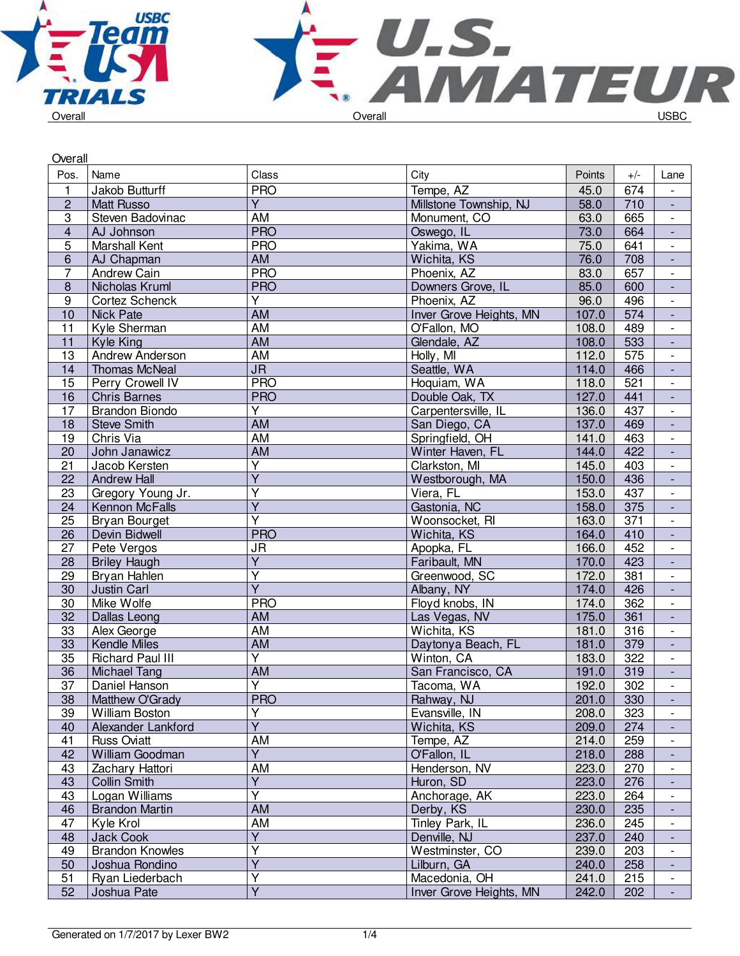



| Overall                 |                         |                         |                         |        |       |                          |
|-------------------------|-------------------------|-------------------------|-------------------------|--------|-------|--------------------------|
| Pos.                    | Name                    | Class                   | City                    | Points | $+/-$ | Lane                     |
| $\mathbf{1}$            | Jakob Butturff          | <b>PRO</b>              | Tempe, AZ               | 45.0   | 674   | $\overline{\phantom{a}}$ |
| $\overline{2}$          | <b>Matt Russo</b>       | Ÿ                       | Millstone Township, NJ  | 58.0   | 710   | $\blacksquare$           |
| 3                       | Steven Badovinac        | AM                      | Monument, CO            | 63.0   | 665   | $\overline{\phantom{a}}$ |
| $\overline{\mathbf{4}}$ | AJ Johnson              | <b>PRO</b>              | Oswego, IL              | 73.0   | 664   | $\blacksquare$           |
| $\overline{5}$          | Marshall Kent           | <b>PRO</b>              | Yakima, WA              | 75.0   | 641   | $\overline{\phantom{a}}$ |
| $\overline{6}$          | AJ Chapman              | AM                      | Wichita, KS             | 76.0   | 708   | $\blacksquare$           |
| $\overline{7}$          | Andrew Cain             | <b>PRO</b>              | Phoenix, AZ             | 83.0   | 657   | $\overline{\phantom{a}}$ |
| $\bf 8$                 | Nicholas Kruml          | <b>PRO</b>              | Downers Grove, IL       | 85.0   | 600   | $\blacksquare$           |
| 9                       | Cortez Schenck          | Y                       | Phoenix, AZ             | 96.0   | 496   | $\overline{\phantom{a}}$ |
| 10                      | <b>Nick Pate</b>        | AM                      | Inver Grove Heights, MN | 107.0  | 574   | $\overline{\phantom{a}}$ |
| 11                      | Kyle Sherman            | AM                      | O'Fallon, MO            | 108.0  | 489   | $\overline{\phantom{a}}$ |
| 11                      | <b>Kyle King</b>        | <b>AM</b>               | Glendale, AZ            | 108.0  | 533   | $\blacksquare$           |
| 13                      | Andrew Anderson         | AM                      | Holly, MI               | 112.0  | 575   | $\overline{\phantom{a}}$ |
| 14                      | <b>Thomas McNeal</b>    | <b>JR</b>               | Seattle, WA             | 114.0  | 466   | $\overline{\phantom{a}}$ |
| 15                      | Perry Crowell IV        | <b>PRO</b>              | Hoquiam, WA             | 118.0  | 521   | $\overline{\phantom{a}}$ |
| 16                      | <b>Chris Barnes</b>     | <b>PRO</b>              | Double Oak, TX          | 127.0  | 441   | $\blacksquare$           |
| 17                      | <b>Brandon Biondo</b>   | $\overline{Y}$          | Carpentersville, IL     | 136.0  | 437   | $\overline{\phantom{a}}$ |
| 18                      | <b>Steve Smith</b>      | AM                      | San Diego, CA           | 137.0  | 469   | $\blacksquare$           |
| 19                      | Chris Via               | AM                      | Springfield, OH         | 141.0  | 463   | $\overline{\phantom{a}}$ |
| 20                      | John Janawicz           | <b>AM</b>               | Winter Haven, FL        | 144.0  | 422   | $\Box$                   |
| 21                      | Jacob Kersten           | $\overline{\mathsf{Y}}$ | Clarkston, MI           | 145.0  | 403   | $\overline{\phantom{a}}$ |
| 22                      | <b>Andrew Hall</b>      | $\overline{\mathsf{Y}}$ | Westborough, MA         | 150.0  | 436   | $\blacksquare$           |
| 23                      | Gregory Young Jr.       | Υ                       | Viera, FL               | 153.0  | 437   | $\overline{\phantom{a}}$ |
| 24                      | Kennon McFalls          | $\overline{Y}$          | Gastonia, NC            | 158.0  | 375   | $\blacksquare$           |
| 25                      | <b>Bryan Bourget</b>    | Ÿ                       | Woonsocket, RI          | 163.0  | 371   | $\overline{\phantom{a}}$ |
| $\overline{26}$         | Devin Bidwell           | <b>PRO</b>              | Wichita, KS             | 164.0  | 410   | $\blacksquare$           |
| 27                      | Pete Vergos             | <b>JR</b>               | Apopka, FL              | 166.0  | 452   | $\overline{\phantom{a}}$ |
| 28                      | <b>Briley Haugh</b>     | $\overline{Y}$          | Faribault, MN           | 170.0  | 423   | $\blacksquare$           |
| 29                      | Bryan Hahlen            | $\overline{\mathsf{Y}}$ | Greenwood, SC           | 172.0  | 381   | $\overline{\phantom{a}}$ |
| 30                      | Justin Carl             | $\overline{Y}$          | Albany, NY              | 174.0  | 426   | $\blacksquare$           |
| 30                      | Mike Wolfe              | <b>PRO</b>              | Floyd knobs, IN         | 174.0  | 362   | $\overline{\phantom{a}}$ |
| 32                      | Dallas Leong            | <b>AM</b>               | Las Vegas, NV           | 175.0  | 361   | $\overline{\phantom{a}}$ |
| 33                      | Alex George             | AM                      | Wichita, KS             | 181.0  | 316   | $\overline{\phantom{a}}$ |
| 33                      | <b>Kendle Miles</b>     | <b>AM</b>               | Daytonya Beach, FL      | 181.0  | 379   | $\overline{\phantom{a}}$ |
| 35                      | <b>Richard Paul III</b> | Y                       | Winton, CA              | 183.0  | 322   | $\blacksquare$           |
| $\overline{36}$         | Michael Tang            | <b>AM</b>               | San Francisco, CA       | 191.0  | 319   | $\overline{\phantom{a}}$ |
| $\overline{37}$         | Daniel Hanson           | $\overline{\mathsf{Y}}$ | Tacoma, WA              | 192.0  | 302   | $\overline{\phantom{a}}$ |
| 38                      | Matthew O'Grady         | <b>PRO</b>              | Rahway, NJ              | 201.0  | 330   | $\overline{\phantom{a}}$ |
| 39                      | William Boston          | $\overline{\mathsf{Y}}$ | Evansville, IN          | 208.0  | 323   | $\overline{\phantom{a}}$ |
| 40                      | Alexander Lankford      | $\overline{Y}$          | Wichita, KS             | 209.0  | 274   | $\blacksquare$           |
| 41                      | <b>Russ Oviatt</b>      | AM                      | Tempe, AZ               | 214.0  | 259   | $\overline{\phantom{a}}$ |
| 42                      | William Goodman         | $\overline{Y}$          | O'Fallon, IL            | 218.0  | 288   | $\overline{\phantom{a}}$ |
| 43                      | Zachary Hattori         | AM                      | Henderson, NV           | 223.0  | 270   | $\overline{\phantom{a}}$ |
| 43                      | <b>Collin Smith</b>     | Y                       | Huron, SD               | 223.0  | 276   | $\overline{\phantom{a}}$ |
| 43                      | Logan Williams          | Υ                       | Anchorage, AK           | 223.0  | 264   | $\overline{\phantom{a}}$ |
| 46                      | <b>Brandon Martin</b>   | AM                      | Derby, KS               | 230.0  | 235   | $\overline{\phantom{a}}$ |
| 47                      | Kyle Krol               | AM                      | Tinley Park, IL         | 236.0  | 245   | $\overline{\phantom{a}}$ |
| 48                      | <b>Jack Cook</b>        | $\overline{Y}$          | Denville, NJ            | 237.0  | 240   | $\blacksquare$           |
| 49                      | <b>Brandon Knowles</b>  | $\overline{\mathsf{Y}}$ | Westminster, CO         | 239.0  | 203   | $\overline{\phantom{a}}$ |
| 50                      | Joshua Rondino          | $\overline{Y}$          | Lilburn, GA             | 240.0  | 258   | $\overline{\phantom{a}}$ |
| 51                      | Ryan Liederbach         | Ÿ                       | Macedonia, OH           | 241.0  | 215   | $\overline{\phantom{a}}$ |
| 52                      | Joshua Pate             | $\overline{Y}$          | Inver Grove Heights, MN | 242.0  | 202   | $\overline{\phantom{a}}$ |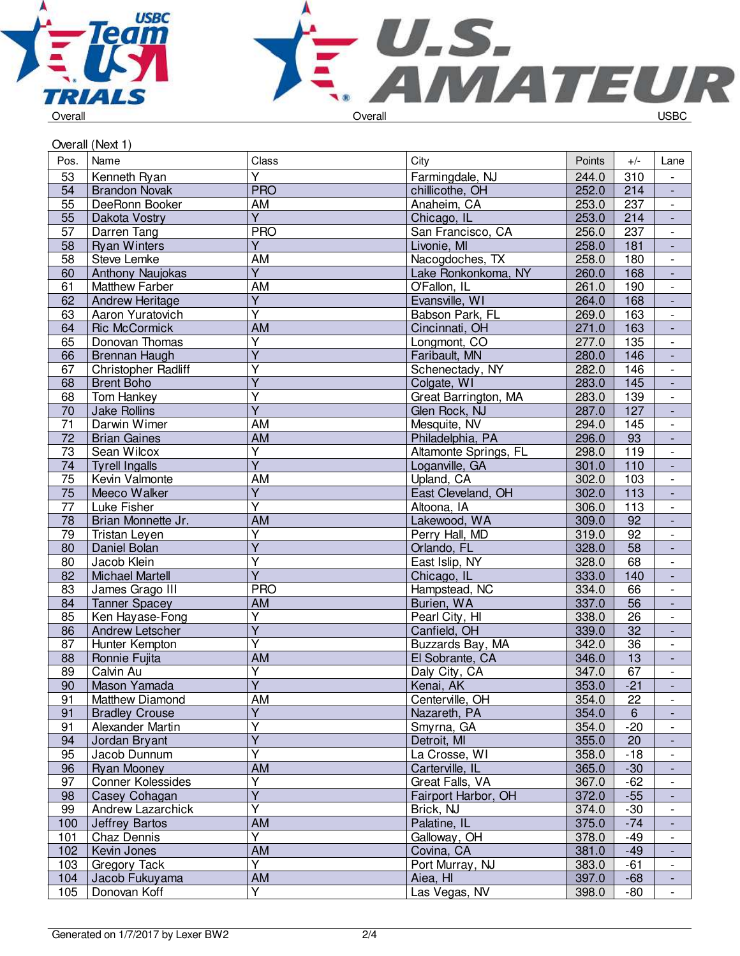



|                       | Overall (Next 1)        |                         |                       |        |                 |                          |
|-----------------------|-------------------------|-------------------------|-----------------------|--------|-----------------|--------------------------|
| Pos.                  | Name                    | Class                   | City                  | Points | $+/-$           | Lane                     |
| 53                    | Kenneth Ryan            | $\overline{\mathsf{Y}}$ | Farmingdale, NJ       | 244.0  | 310             | $\overline{\phantom{a}}$ |
| 54                    | <b>Brandon Novak</b>    | <b>PRO</b>              | chillicothe, OH       | 252.0  | 214             | $\overline{\phantom{a}}$ |
| 55                    | DeeRonn Booker          | AM                      | Anaheim, CA           | 253.0  | 237             | $\overline{\phantom{a}}$ |
| $\overline{55}$       | Dakota Vostry           | $\overline{Y}$          | Chicago, IL           | 253.0  | 214             | $\overline{\phantom{a}}$ |
| 57                    | Darren Tang             | <b>PRO</b>              | San Francisco, CA     | 256.0  | 237             | $\overline{\phantom{a}}$ |
| 58                    | <b>Ryan Winters</b>     | $\overline{Y}$          | Livonie, MI           | 258.0  | 181             | $\overline{\phantom{a}}$ |
| 58                    | <b>Steve Lemke</b>      | AM                      | Nacogdoches, TX       | 258.0  | 180             | $\overline{\phantom{a}}$ |
| 60                    | Anthony Naujokas        | $\overline{Y}$          | Lake Ronkonkoma, NY   | 260.0  | 168             | $\blacksquare$           |
| 61                    | <b>Matthew Farber</b>   | AM                      | O'Fallon, IL          | 261.0  | 190             | $\overline{\phantom{a}}$ |
| 62                    | <b>Andrew Heritage</b>  | $\overline{Y}$          | Evansville, WI        | 264.0  | 168             | ÷,                       |
| 63                    | <b>Aaron Yuratovich</b> | $\overline{\mathsf{Y}}$ | Babson Park, FL       | 269.0  | 163             | $\overline{\phantom{a}}$ |
| 64                    | <b>Ric McCormick</b>    | AM                      | Cincinnati, OH        | 271.0  | 163             | $\overline{\phantom{a}}$ |
| 65                    | Donovan Thomas          | Υ                       | Longmont, CO          | 277.0  | 135             | $\overline{\phantom{a}}$ |
| 66                    | Brennan Haugh           | $\overline{Y}$          | Faribault, MN         | 280.0  | 146             | $\blacksquare$           |
| 67                    | Christopher Radliff     | Y                       | Schenectady, NY       | 282.0  | 146             | $\overline{\phantom{a}}$ |
| 68                    | <b>Brent Boho</b>       | $\overline{\mathsf{Y}}$ | Colgate, WI           | 283.0  | 145             | $\overline{\phantom{a}}$ |
| 68                    |                         | Ÿ                       |                       | 283.0  | 139             | $\overline{\phantom{a}}$ |
|                       | Tom Hankey              | $\overline{\mathsf{Y}}$ | Great Barrington, MA  |        |                 |                          |
| 70<br>$\overline{71}$ | <b>Jake Rollins</b>     |                         | Glen Rock, NJ         | 287.0  | 127             | $\blacksquare$<br>$\Box$ |
|                       | Darwin Wimer            | AM                      | Mesquite, NV          | 294.0  | 145             |                          |
| $\overline{72}$       | <b>Brian Gaines</b>     | AM                      | Philadelphia, PA      | 296.0  | 93              | $\Box$                   |
| 73                    | Sean Wilcox             | Ÿ                       | Altamonte Springs, FL | 298.0  | 119             | $\overline{\phantom{a}}$ |
| 74                    | <b>Tyrell Ingalls</b>   | $\overline{Y}$          | Loganville, GA        | 301.0  | 110             | $\overline{\phantom{a}}$ |
| $\overline{75}$       | Kevin Valmonte          | AM                      | Upland, CA            | 302.0  | 103             | $\overline{\phantom{a}}$ |
| 75                    | Meeco Walker            | $\overline{Y}$          | East Cleveland, OH    | 302.0  | 113             | $\overline{\phantom{a}}$ |
| $\overline{77}$       | Luke Fisher             | $\overline{\mathsf{Y}}$ | Altoona, IA           | 306.0  | 113             | $\overline{\phantom{a}}$ |
| 78                    | Brian Monnette Jr.      | <b>AM</b>               | Lakewood, WA          | 309.0  | 92              | $\overline{\phantom{a}}$ |
| 79                    | Tristan Leyen           | Υ                       | Perry Hall, MD        | 319.0  | $\overline{92}$ | $\overline{\phantom{a}}$ |
| 80                    | Daniel Bolan            | $\overline{\mathsf{Y}}$ | Orlando, FL           | 328.0  | $\overline{58}$ | $\blacksquare$           |
| 80                    | Jacob Klein             | $\overline{\mathsf{Y}}$ | East Islip, NY        | 328.0  | 68              | $\overline{\phantom{a}}$ |
| 82                    | Michael Martell         | $\overline{\mathsf{Y}}$ | Chicago, IL           | 333.0  | 140             | $\Box$                   |
| 83                    | James Grago III         | <b>PRO</b>              | Hampstead, NC         | 334.0  | 66              | $\overline{\phantom{a}}$ |
| 84                    | <b>Tanner Spacey</b>    | AM                      | Burien, WA            | 337.0  | 56              | $\overline{\phantom{a}}$ |
| 85                    | Ken Hayase-Fong         | Υ                       | Pearl City, HI        | 338.0  | 26              | $\overline{\phantom{a}}$ |
| 86                    | Andrew Letscher         | $\overline{Y}$          | Canfield, OH          | 339.0  | 32              | $\overline{\phantom{a}}$ |
| 87                    | Hunter Kempton          | $\overline{\mathsf{Y}}$ | Buzzards Bay, MA      | 342.0  | $\overline{36}$ | $\overline{\phantom{a}}$ |
| 88                    | Ronnie Fujita           | <b>AM</b>               | El Sobrante, CA       | 346.0  | 13              | $\overline{\phantom{a}}$ |
| 89                    | Calvin Au               | $\overline{\mathsf{Y}}$ | Daly City, CA         | 347.0  | 67              |                          |
| 90                    | Mason Yamada            | $\overline{Y}$          | Kenai, AK             | 353.0  | $-21$           |                          |
| 91                    | Matthew Diamond         | AM                      | Centerville, OH       | 354.0  | 22              |                          |
| 91                    | <b>Bradley Crouse</b>   | $\overline{Y}$          | Nazareth, PA          | 354.0  | $\,6\,$         | ÷,                       |
| 91                    | Alexander Martin        | Υ                       | Smyrna, GA            | 354.0  | $-20$           | $\overline{\phantom{a}}$ |
| 94                    | Jordan Bryant           | Ÿ                       | Detroit, MI           | 355.0  | 20              | $\overline{\phantom{a}}$ |
| 95                    | Jacob Dunnum            | $\overline{\mathsf{Y}}$ | La Crosse, WI         | 358.0  | $-18$           | $\overline{\phantom{a}}$ |
| 96                    | Ryan Mooney             | AM                      | Carterville, IL       | 365.0  | $-30$           | $\overline{\phantom{a}}$ |
| 97                    | Conner Kolessides       | Υ                       | Great Falls, VA       | 367.0  | $-62$           | $\overline{\phantom{a}}$ |
| 98                    | Casey Cohagan           | $\overline{\mathsf{Y}}$ | Fairport Harbor, OH   | 372.0  | $-55$           | $\overline{\phantom{a}}$ |
| 99                    | Andrew Lazarchick       | $\overline{\mathsf{Y}}$ | Brick, NJ             | 374.0  | $-30$           | $\overline{\phantom{0}}$ |
| 100                   | <b>Jeffrey Bartos</b>   | AM                      | Palatine, IL          | 375.0  | $-74$           |                          |
| 101                   | Chaz Dennis             | Y                       | Galloway, OH          | 378.0  | $-49$           | $\overline{\phantom{a}}$ |
| 102                   | Kevin Jones             | AM                      | Covina, CA            | 381.0  | $-49$           | $\blacksquare$           |
| 103                   | Gregory Tack            | Y                       | Port Murray, NJ       | 383.0  | $-61$           | $\overline{\phantom{a}}$ |
| 104                   | Jacob Fukuyama          | AM                      | Aiea, HI              | 397.0  | $-68$           | $\blacksquare$           |
| 105                   | Donovan Koff            | Y                       | Las Vegas, NV         | 398.0  | $-80$           | $\overline{\phantom{a}}$ |
|                       |                         |                         |                       |        |                 |                          |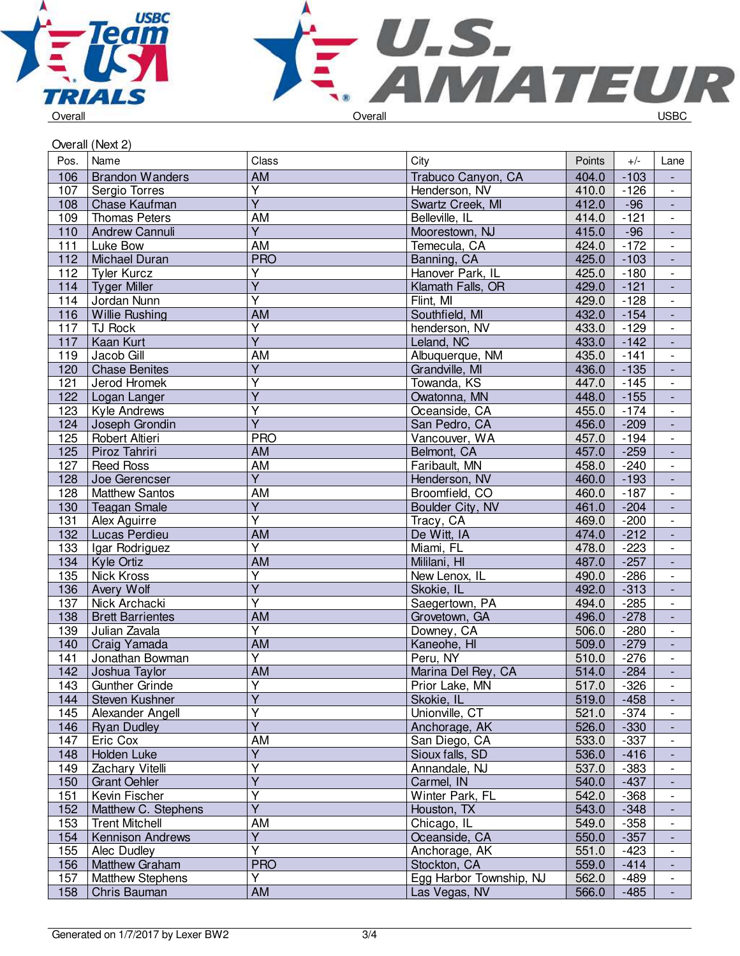



| Overall (Next 2) |                         |                         |                         |        |        |                          |  |
|------------------|-------------------------|-------------------------|-------------------------|--------|--------|--------------------------|--|
| Pos.             | Name                    | Class                   | City                    | Points | $+/-$  | Lane                     |  |
| 106              | <b>Brandon Wanders</b>  | <b>AM</b>               | Trabuco Canyon, CA      | 404.0  | $-103$ | $\blacksquare$           |  |
| 107              | Sergio Torres           | $\overline{\mathsf{Y}}$ | Henderson, NV           | 410.0  | $-126$ | $\overline{\phantom{a}}$ |  |
| 108              | Chase Kaufman           | $\overline{Y}$          | Swartz Creek, MI        | 412.0  | $-96$  | $\blacksquare$           |  |
| 109              | <b>Thomas Peters</b>    | AM                      | Belleville, IL          | 414.0  | $-121$ | $\overline{\phantom{a}}$ |  |
| 110              | Andrew Cannuli          | $\overline{\mathsf{Y}}$ | Moorestown, NJ          | 415.0  | $-96$  | $\blacksquare$           |  |
| 111              | Luke Bow                | $\overline{AM}$         | Temecula, CA            | 424.0  | $-172$ | $\blacksquare$           |  |
| 112              | Michael Duran           | <b>PRO</b>              | Banning, CA             | 425.0  | $-103$ | $\blacksquare$           |  |
| 112              | <b>Tyler Kurcz</b>      | Ÿ                       | Hanover Park, IL        | 425.0  | $-180$ | $\overline{\phantom{a}}$ |  |
| 114              | <b>Tyger Miller</b>     | $\overline{Y}$          | Klamath Falls, OR       | 429.0  | $-121$ | $\blacksquare$           |  |
| 114              | Jordan Nunn             | $\overline{\mathsf{Y}}$ | Flint, MI               | 429.0  | $-128$ | $\overline{\phantom{a}}$ |  |
| 116              | <b>Willie Rushing</b>   | <b>AM</b>               | Southfield, MI          | 432.0  | $-154$ | ÷,                       |  |
| 117              | TJ Rock                 | $\overline{\mathsf{Y}}$ | henderson, NV           | 433.0  | $-129$ | $\overline{\phantom{a}}$ |  |
| 117              | Kaan Kurt               | $\overline{\mathsf{Y}}$ | Leland, NC              | 433.0  | $-142$ | $\blacksquare$           |  |
| 119              | Jacob Gill              | AM                      | Albuquerque, NM         | 435.0  | $-141$ | $\overline{\phantom{a}}$ |  |
| 120              | <b>Chase Benites</b>    | Y                       | Grandville, MI          | 436.0  | $-135$ |                          |  |
| 121              | Jerod Hromek            | $\overline{\mathsf{Y}}$ | Towanda, KS             | 447.0  | $-145$ | $\overline{\phantom{a}}$ |  |
| 122              | Logan Langer            | $\overline{\mathsf{Y}}$ | Owatonna, MN            | 448.0  | $-155$ | $\blacksquare$           |  |
| 123              | Kyle Andrews            | $\overline{\mathsf{Y}}$ | Oceanside, CA           | 455.0  | $-174$ | $\overline{\phantom{a}}$ |  |
| 124              | Joseph Grondin          | $\overline{Y}$          | San Pedro, CA           | 456.0  | $-209$ | $\blacksquare$           |  |
| 125              | Robert Altieri          | <b>PRO</b>              | Vancouver, WA           | 457.0  | $-194$ | $\Box$                   |  |
| 125              | Piroz Tahriri           | AM                      | Belmont, CA             | 457.0  | $-259$ | ÷,                       |  |
| 127              | <b>Reed Ross</b>        | AM                      | Faribault, MN           | 458.0  | $-240$ | $\overline{\phantom{a}}$ |  |
| 128              | Joe Gerencser           | $\overline{Y}$          | Henderson, NV           | 460.0  | $-193$ | $\blacksquare$           |  |
| 128              | <b>Matthew Santos</b>   | AM                      | Broomfield, CO          | 460.0  | $-187$ | $\overline{\phantom{a}}$ |  |
| 130              | <b>Teagan Smale</b>     | $\overline{\mathsf{Y}}$ | Boulder City, NV        | 461.0  | $-204$ | $\blacksquare$           |  |
| 131              | Alex Aguirre            | $\overline{\mathsf{Y}}$ | Tracy, CA               | 469.0  | $-200$ | $\overline{\phantom{a}}$ |  |
| 132              | Lucas Perdieu           | <b>AM</b>               | De Witt, IA             | 474.0  | $-212$ | $\blacksquare$           |  |
| 133              | Igar Rodriguez          | $\overline{\mathsf{Y}}$ | Miami, FL               | 478.0  | $-223$ | $\overline{\phantom{a}}$ |  |
| 134              | Kyle Ortiz              | <b>AM</b>               | Mililani, HI            | 487.0  | $-257$ | $\blacksquare$           |  |
| 135              | Nick Kross              | $\overline{\mathsf{Y}}$ | New Lenox, IL           | 490.0  | $-286$ | $\blacksquare$           |  |
| 136              | Avery Wolf              | $\overline{\mathsf{Y}}$ | Skokie, IL              | 492.0  | $-313$ | $\Box$                   |  |
| 137              | Nick Archacki           | $\overline{\mathsf{Y}}$ | Saegertown, PA          | 494.0  | $-285$ | $\overline{\phantom{a}}$ |  |
| 138              | <b>Brett Barrientes</b> | AM                      | Grovetown, GA           | 496.0  | $-278$ | $\blacksquare$           |  |
| 139              | Julian Zavala           | $\overline{\mathsf{Y}}$ | Downey, CA              | 506.0  | $-280$ | $\overline{\phantom{a}}$ |  |
| 140              | Craig Yamada            | <b>AM</b>               | Kaneohe, HI             | 509.0  | $-279$ |                          |  |
| 141              | Jonathan Bowman         | Y                       | Peru, NY                | 510.0  | $-276$ | $\overline{\phantom{a}}$ |  |
| 142              | Joshua Taylor           | $\overline{AM}$         | Marina Del Rey, CA      | 514.0  | $-284$ |                          |  |
| 143              | <b>Gunther Grinde</b>   | Υ                       | Prior Lake, MN          | 517.0  | $-326$ | $\overline{\phantom{a}}$ |  |
| 144              | Steven Kushner          | $\overline{\mathsf{Y}}$ | Skokie, IL              | 519.0  | $-458$ |                          |  |
| 145              | Alexander Angell        | $\overline{\mathsf{Y}}$ | Unionville, CT          | 521.0  | $-374$ |                          |  |
| 146              | <b>Ryan Dudley</b>      | $\overline{\mathsf{Y}}$ | Anchorage, AK           | 526.0  | $-330$ | $\blacksquare$           |  |
| 147              | Eric Cox                | AM                      | San Diego, CA           | 533.0  | $-337$ | $\overline{\phantom{a}}$ |  |
| 148              | Holden Luke             | $\overline{Y}$          | Sioux falls, SD         | 536.0  | $-416$ | $\blacksquare$           |  |
| 149              | Zachary Vitelli         | Y                       | Annandale, NJ           | 537.0  | $-383$ | $\overline{\phantom{a}}$ |  |
| 150              | <b>Grant Oehler</b>     | $\overline{Y}$          | Carmel, IN              | 540.0  | $-437$ |                          |  |
| 151              | Kevin Fischer           | Y                       | Winter Park, FL         | 542.0  | $-368$ | $\overline{\phantom{a}}$ |  |
| 152              | Matthew C. Stephens     | $\overline{Y}$          | Houston, TX             | 543.0  | $-348$ |                          |  |
| 153              | <b>Trent Mitchell</b>   | AM                      | Chicago, IL             | 549.0  | $-358$ |                          |  |
| 154              | Kennison Andrews        | $\overline{Y}$          | Oceanside, CA           | 550.0  | $-357$ |                          |  |
| 155              | Alec Dudley             | $\overline{\mathsf{Y}}$ | Anchorage, AK           | 551.0  | $-423$ | $\overline{\phantom{a}}$ |  |
| 156              | <b>Matthew Graham</b>   | <b>PRO</b>              | Stockton, CA            | 559.0  | $-414$ | $\blacksquare$           |  |
| 157              | <b>Matthew Stephens</b> | Ÿ                       | Egg Harbor Township, NJ | 562.0  | -489   | $\overline{\phantom{a}}$ |  |
| 158              | Chris Bauman            | AM                      | Las Vegas, NV           | 566.0  | $-485$ | $\blacksquare$           |  |